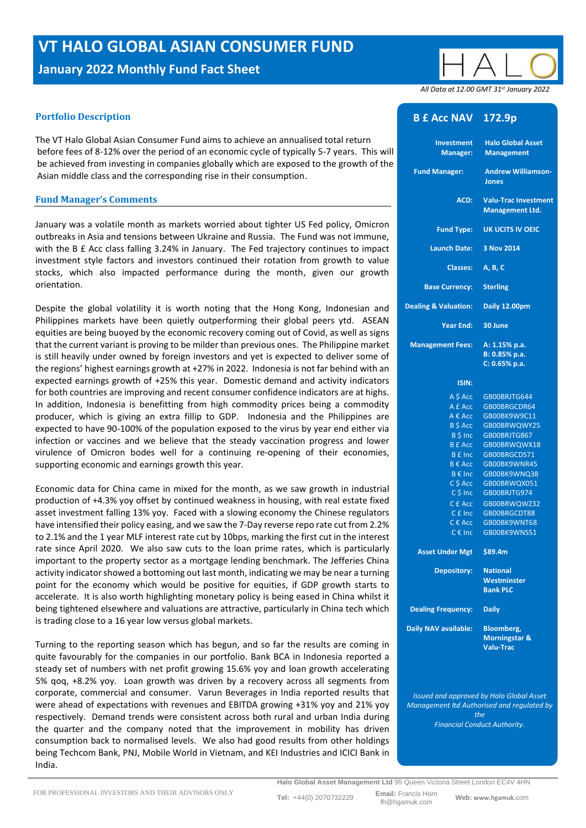# **VT HALO GLOBAL ASIAN CONSUMER FUND**

**January 2022 Monthly Fund Fact Sheet**

## **Portfolio Description**

The VT Halo Global Asian Consumer Fund aims to achieve an annualised total return before fees of 8-12% over the period of an economic cycle of typically 5-7 years. This will be achieved from investing in companies globally which are exposed to the growth of the Asian middle class and the corresponding rise in their consumption.

### **Fund Manager's Comments**

January was a volatile month as markets worried about tighter US Fed policy, Omicron outbreaks in Asia and tensions between Ukraine and Russia. The Fund was not immune, with the B £ Acc class falling 3.24% in January. The Fed trajectory continues to impact investment style factors and investors continued their rotation from growth to value stocks, which also impacted performance during the month, given our growth orientation.

Despite the global volatility it is worth noting that the Hong Kong, Indonesian and Philippines markets have been quietly outperforming their global peers ytd. ASEAN equities are being buoyed by the economic recovery coming out of Covid, as well as signs that the current variant is proving to be milder than previous ones. The Philippine market is still heavily under owned by foreign investors and yet is expected to deliver some of the regions' highest earnings growth at +27% in 2022. Indonesia is not far behind with an expected earnings growth of +25% this year. Domestic demand and activity indicators for both countries are improving and recent consumer confidence indicators are at highs. In addition, Indonesia is benefitting from high commodity prices being a commodity producer, which is giving an extra fillip to GDP. Indonesia and the Philippines are expected to have 90-100% of the population exposed to the virus by year end either via infection or vaccines and we believe that the steady vaccination progress and lower virulence of Omicron bodes well for a continuing re-opening of their economies, supporting economic and earnings growth this year.

Economic data for China came in mixed for the month, as we saw growth in industrial production of +4.3% yoy offset by continued weakness in housing, with real estate fixed asset investment falling 13% yoy. Faced with a slowing economy the Chinese regulators have intensified their policy easing, and we saw the 7-Day reverse repo rate cut from 2.2% to 2.1% and the 1 year MLF interest rate cut by 10bps, marking the first cut in the interest rate since April 2020. We also saw cuts to the loan prime rates, which is particularly important to the property sector as a mortgage lending benchmark. The Jefferies China activity indicator showed a bottoming out last month, indicating we may be near a turning point for the economy which would be positive for equities, if GDP growth starts to accelerate. It is also worth highlighting monetary policy is being eased in China whilst it being tightened elsewhere and valuations are attractive, particularly in China tech which is trading close to a 16 year low versus global markets.

Turning to the reporting season which has begun, and so far the results are coming in quite favourably for the companies in our portfolio. Bank BCA in Indonesia reported a steady set of numbers with net profit growing 15.6% yoy and loan growth accelerating 5% qoq, +8.2% yoy. Loan growth was driven by a recovery across all segments from corporate, commercial and consumer. Varun Beverages in India reported results that were ahead of expectations with revenues and EBITDA growing +31% yoy and 21% yoy respectively. Demand trends were consistent across both rural and urban India during the quarter and the company noted that the improvement in mobility has driven consumption back to normalised levels. We also had good results from other holdings being Techcom Bank, PNJ, Mobile World in Vietnam, and KEI Industries and ICICI Bank in India.

 *All Data at 12.00 GMT 31 st January 2022*

## **B £ Acc NAV 172.9p**

| <b>Halo Global Asset</b><br><b>Investment</b><br><b>Management</b><br><b>Manager:</b><br><b>Andrew Williamson-</b><br><b>Fund Manager:</b><br><b>Jones</b><br><b>Valu-Trac Investment</b><br>ACD:<br><b>Management Ltd.</b><br><b>UK UCITS IV OEIC</b><br><b>Fund Type:</b><br>3 Nov 2014<br><b>Launch Date:</b><br><b>Classes:</b><br>A, B, C<br><b>Base Currency:</b><br><b>Sterling</b><br>Daily 12.00pm<br>30 June<br>Year End:<br><b>Management Fees:</b><br>A: 1.15% p.a.<br>B: 0.85% p.a.<br>C: 0.65% p.a.<br><b>ISIN:</b><br>$A $$ Acc<br>GB00BRJTG644<br>A £ Acc<br>GB00BRGCDR64<br>$A \in Acc$<br>GB00BK9W9C11<br><b>B</b> \$ Acc<br>GB00BRWQWY25<br>B \$ Inc<br>GB00BRJTG867<br><b>B</b> £ Acc<br>GB00BRWQWX18<br><b>B</b> £ Inc<br>GB00BRGCDS71<br>B € Acc<br>GB00BK9WNR45<br>B € Inc<br>GB00BK9WNQ38<br>C \$ Acc<br>GB00BRWQX051<br>$C$ \$ Inc<br>GB00BRJTG974<br>C £ Acc<br>GB00BRWQWZ32<br>C £ Inc<br>GB00BRGCDT88<br>$C \in Acc$<br>GB00BK9WNT68<br>GBOOBK9WNS51<br>C € Inc<br>\$89.4m<br><b>Asset Under Mgt</b><br>Depository:<br><b>National</b><br>Westminster<br><b>Bank PLC</b><br><b>Dealing Frequency:</b><br><b>Daily</b><br><b>Daily NAV available:</b><br><b>Bloomberg,</b><br><b>Morningstar &amp;</b><br><b>Valu-Trac</b> |                                 |  |
|-------------------------------------------------------------------------------------------------------------------------------------------------------------------------------------------------------------------------------------------------------------------------------------------------------------------------------------------------------------------------------------------------------------------------------------------------------------------------------------------------------------------------------------------------------------------------------------------------------------------------------------------------------------------------------------------------------------------------------------------------------------------------------------------------------------------------------------------------------------------------------------------------------------------------------------------------------------------------------------------------------------------------------------------------------------------------------------------------------------------------------------------------------------------------------------------------------------------------------------------------------|---------------------------------|--|
|                                                                                                                                                                                                                                                                                                                                                                                                                                                                                                                                                                                                                                                                                                                                                                                                                                                                                                                                                                                                                                                                                                                                                                                                                                                       |                                 |  |
|                                                                                                                                                                                                                                                                                                                                                                                                                                                                                                                                                                                                                                                                                                                                                                                                                                                                                                                                                                                                                                                                                                                                                                                                                                                       |                                 |  |
|                                                                                                                                                                                                                                                                                                                                                                                                                                                                                                                                                                                                                                                                                                                                                                                                                                                                                                                                                                                                                                                                                                                                                                                                                                                       |                                 |  |
|                                                                                                                                                                                                                                                                                                                                                                                                                                                                                                                                                                                                                                                                                                                                                                                                                                                                                                                                                                                                                                                                                                                                                                                                                                                       |                                 |  |
|                                                                                                                                                                                                                                                                                                                                                                                                                                                                                                                                                                                                                                                                                                                                                                                                                                                                                                                                                                                                                                                                                                                                                                                                                                                       |                                 |  |
|                                                                                                                                                                                                                                                                                                                                                                                                                                                                                                                                                                                                                                                                                                                                                                                                                                                                                                                                                                                                                                                                                                                                                                                                                                                       |                                 |  |
|                                                                                                                                                                                                                                                                                                                                                                                                                                                                                                                                                                                                                                                                                                                                                                                                                                                                                                                                                                                                                                                                                                                                                                                                                                                       |                                 |  |
|                                                                                                                                                                                                                                                                                                                                                                                                                                                                                                                                                                                                                                                                                                                                                                                                                                                                                                                                                                                                                                                                                                                                                                                                                                                       | <b>Dealing &amp; Valuation:</b> |  |
|                                                                                                                                                                                                                                                                                                                                                                                                                                                                                                                                                                                                                                                                                                                                                                                                                                                                                                                                                                                                                                                                                                                                                                                                                                                       |                                 |  |
|                                                                                                                                                                                                                                                                                                                                                                                                                                                                                                                                                                                                                                                                                                                                                                                                                                                                                                                                                                                                                                                                                                                                                                                                                                                       |                                 |  |
|                                                                                                                                                                                                                                                                                                                                                                                                                                                                                                                                                                                                                                                                                                                                                                                                                                                                                                                                                                                                                                                                                                                                                                                                                                                       |                                 |  |
|                                                                                                                                                                                                                                                                                                                                                                                                                                                                                                                                                                                                                                                                                                                                                                                                                                                                                                                                                                                                                                                                                                                                                                                                                                                       |                                 |  |
|                                                                                                                                                                                                                                                                                                                                                                                                                                                                                                                                                                                                                                                                                                                                                                                                                                                                                                                                                                                                                                                                                                                                                                                                                                                       |                                 |  |
|                                                                                                                                                                                                                                                                                                                                                                                                                                                                                                                                                                                                                                                                                                                                                                                                                                                                                                                                                                                                                                                                                                                                                                                                                                                       |                                 |  |
|                                                                                                                                                                                                                                                                                                                                                                                                                                                                                                                                                                                                                                                                                                                                                                                                                                                                                                                                                                                                                                                                                                                                                                                                                                                       |                                 |  |
|                                                                                                                                                                                                                                                                                                                                                                                                                                                                                                                                                                                                                                                                                                                                                                                                                                                                                                                                                                                                                                                                                                                                                                                                                                                       |                                 |  |
|                                                                                                                                                                                                                                                                                                                                                                                                                                                                                                                                                                                                                                                                                                                                                                                                                                                                                                                                                                                                                                                                                                                                                                                                                                                       |                                 |  |
|                                                                                                                                                                                                                                                                                                                                                                                                                                                                                                                                                                                                                                                                                                                                                                                                                                                                                                                                                                                                                                                                                                                                                                                                                                                       |                                 |  |
|                                                                                                                                                                                                                                                                                                                                                                                                                                                                                                                                                                                                                                                                                                                                                                                                                                                                                                                                                                                                                                                                                                                                                                                                                                                       |                                 |  |
|                                                                                                                                                                                                                                                                                                                                                                                                                                                                                                                                                                                                                                                                                                                                                                                                                                                                                                                                                                                                                                                                                                                                                                                                                                                       |                                 |  |
|                                                                                                                                                                                                                                                                                                                                                                                                                                                                                                                                                                                                                                                                                                                                                                                                                                                                                                                                                                                                                                                                                                                                                                                                                                                       |                                 |  |
|                                                                                                                                                                                                                                                                                                                                                                                                                                                                                                                                                                                                                                                                                                                                                                                                                                                                                                                                                                                                                                                                                                                                                                                                                                                       |                                 |  |
|                                                                                                                                                                                                                                                                                                                                                                                                                                                                                                                                                                                                                                                                                                                                                                                                                                                                                                                                                                                                                                                                                                                                                                                                                                                       |                                 |  |
|                                                                                                                                                                                                                                                                                                                                                                                                                                                                                                                                                                                                                                                                                                                                                                                                                                                                                                                                                                                                                                                                                                                                                                                                                                                       |                                 |  |
|                                                                                                                                                                                                                                                                                                                                                                                                                                                                                                                                                                                                                                                                                                                                                                                                                                                                                                                                                                                                                                                                                                                                                                                                                                                       |                                 |  |
|                                                                                                                                                                                                                                                                                                                                                                                                                                                                                                                                                                                                                                                                                                                                                                                                                                                                                                                                                                                                                                                                                                                                                                                                                                                       |                                 |  |
|                                                                                                                                                                                                                                                                                                                                                                                                                                                                                                                                                                                                                                                                                                                                                                                                                                                                                                                                                                                                                                                                                                                                                                                                                                                       |                                 |  |
|                                                                                                                                                                                                                                                                                                                                                                                                                                                                                                                                                                                                                                                                                                                                                                                                                                                                                                                                                                                                                                                                                                                                                                                                                                                       |                                 |  |
|                                                                                                                                                                                                                                                                                                                                                                                                                                                                                                                                                                                                                                                                                                                                                                                                                                                                                                                                                                                                                                                                                                                                                                                                                                                       |                                 |  |
|                                                                                                                                                                                                                                                                                                                                                                                                                                                                                                                                                                                                                                                                                                                                                                                                                                                                                                                                                                                                                                                                                                                                                                                                                                                       |                                 |  |
|                                                                                                                                                                                                                                                                                                                                                                                                                                                                                                                                                                                                                                                                                                                                                                                                                                                                                                                                                                                                                                                                                                                                                                                                                                                       |                                 |  |
|                                                                                                                                                                                                                                                                                                                                                                                                                                                                                                                                                                                                                                                                                                                                                                                                                                                                                                                                                                                                                                                                                                                                                                                                                                                       |                                 |  |

*Issued and approved by Halo Global Asset Management ltd Authorised and regulated by the Financial Conduct Authority.*

**Halo Global Asset Management Ltd** 95 Queen Victoria Street London EC4V 4HN